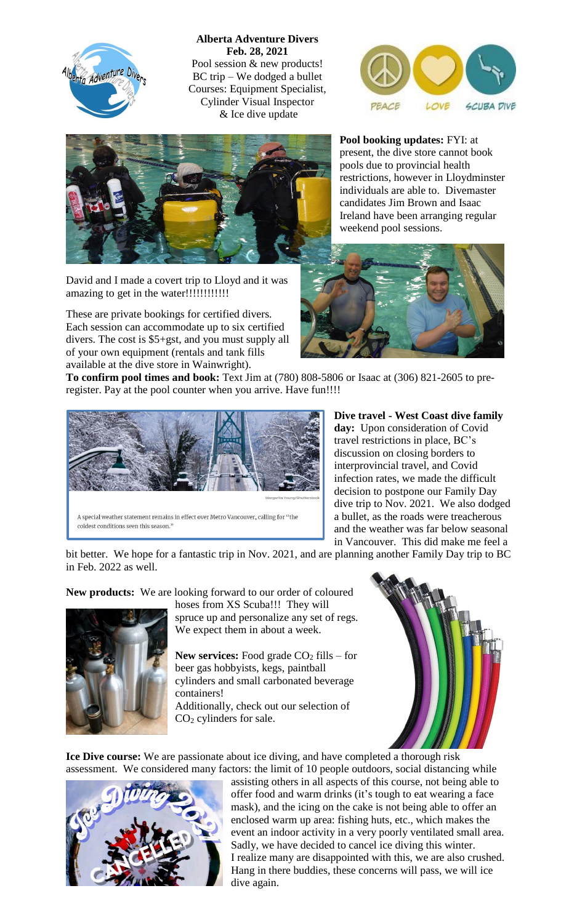

**Alberta Adventure Divers Feb. 28, 2021** Pool session & new products! BC trip – We dodged a bullet Courses: Equipment Specialist, Cylinder Visual Inspector & Ice dive update





David and I made a covert trip to Lloyd and it was amazing to get in the water!!!!!!!!!!!!

These are private bookings for certified divers. Each session can accommodate up to six certified divers. The cost is \$5+gst, and you must supply all of your own equipment (rentals and tank fills available at the dive store in Wainwright).

**Pool booking updates:** FYI: at present, the dive store cannot book pools due to provincial health restrictions, however in Lloydminster individuals are able to. Divemaster candidates Jim Brown and Isaac Ireland have been arranging regular weekend pool sessions.



**To confirm pool times and book:** Text Jim at (780) 808-5806 or Isaac at (306) 821-2605 to preregister. Pay at the pool counter when you arrive. Have fun!!!!



**Dive travel - West Coast dive family day:** Upon consideration of Covid travel restrictions in place, BC's discussion on closing borders to interprovincial travel, and Covid infection rates, we made the difficult decision to postpone our Family Day dive trip to Nov. 2021. We also dodged a bullet, as the roads were treacherous and the weather was far below seasonal in Vancouver. This did make me feel a

bit better. We hope for a fantastic trip in Nov. 2021, and are planning another Family Day trip to BC in Feb. 2022 as well.

**New products:** We are looking forward to our order of coloured



hoses from XS Scuba!!! They will spruce up and personalize any set of regs. We expect them in about a week.

**New services:** Food grade CO<sub>2</sub> fills – for beer gas hobbyists, kegs, paintball cylinders and small carbonated beverage containers!

Additionally, check out our selection of CO<sup>2</sup> cylinders for sale.



**Ice Dive course:** We are passionate about ice diving, and have completed a thorough risk assessment. We considered many factors: the limit of 10 people outdoors, social distancing while



assisting others in all aspects of this course, not being able to offer food and warm drinks (it's tough to eat wearing a face mask), and the icing on the cake is not being able to offer an enclosed warm up area: fishing huts, etc., which makes the event an indoor activity in a very poorly ventilated small area. Sadly, we have decided to cancel ice diving this winter. I realize many are disappointed with this, we are also crushed. Hang in there buddies, these concerns will pass, we will ice dive again.